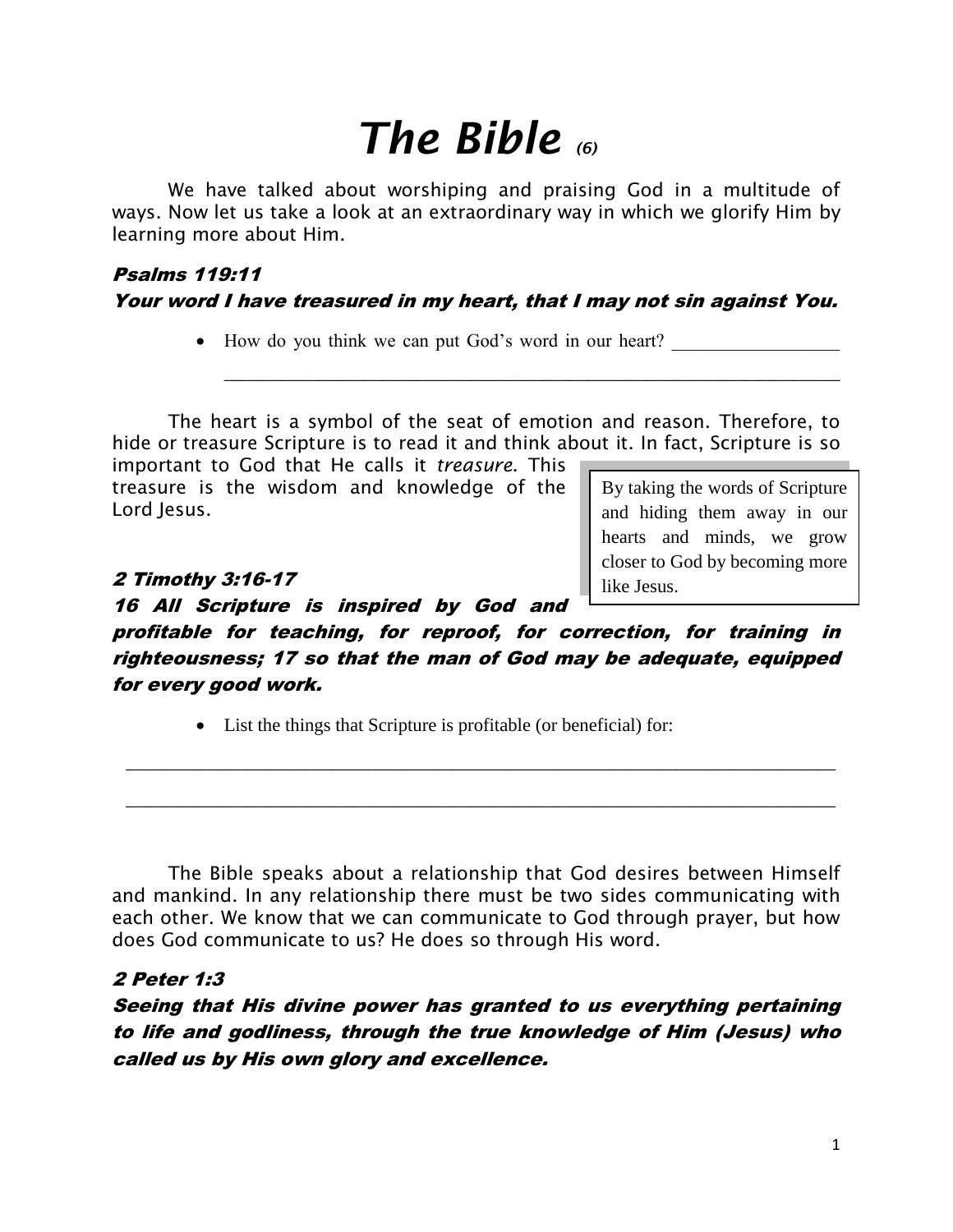# *The Bible (6)*

We have talked about worshiping and praising God in a multitude of ways. Now let us take a look at an extraordinary way in which we glorify Him by learning more about Him.

# Psalms 119:11 Your word I have treasured in my heart, that I may not sin against You.

• How do you think we can put God's word in our heart?

The heart is a symbol of the seat of emotion and reason. Therefore, to hide or treasure Scripture is to read it and think about it. In fact, Scripture is so

\_\_\_\_\_\_\_\_\_\_\_\_\_\_\_\_\_\_\_\_\_\_\_\_\_\_\_\_\_\_\_\_\_\_\_\_\_\_\_\_\_\_\_\_\_\_\_\_\_\_\_\_\_\_\_\_\_\_\_\_\_\_\_\_\_\_

important to God that He calls it *treasure*. This treasure is the wisdom and knowledge of the Lord Jesus.

#### 2 Timothy 3:16-17

16 All Scripture is inspired by God and

profitable for teaching, for reproof, for correction, for training in righteousness; 17 so that the man of God may be adequate, equipped for every good work.

\_\_\_\_\_\_\_\_\_\_\_\_\_\_\_\_\_\_\_\_\_\_\_\_\_\_\_\_\_\_\_\_\_\_\_\_\_\_\_\_\_\_\_\_\_\_\_\_\_\_\_\_\_\_\_\_\_\_\_\_\_\_\_\_\_\_\_\_\_\_\_\_\_\_\_\_

\_\_\_\_\_\_\_\_\_\_\_\_\_\_\_\_\_\_\_\_\_\_\_\_\_\_\_\_\_\_\_\_\_\_\_\_\_\_\_\_\_\_\_\_\_\_\_\_\_\_\_\_\_\_\_\_\_\_\_\_\_\_\_\_\_\_\_\_\_\_\_\_\_\_\_\_

List the things that Scripture is profitable (or beneficial) for:

The Bible speaks about a relationship that God desires between Himself and mankind. In any relationship there must be two sides communicating with each other. We know that we can communicate to God through prayer, but how does God communicate to us? He does so through His word.

## 2 Peter 1:3

Seeing that His divine power has granted to us everything pertaining to life and godliness, through the true knowledge of Him (Jesus) who called us by His own glory and excellence.

By taking the words of Scripture and hiding them away in our hearts and minds, we grow closer to God by becoming more

like Jesus.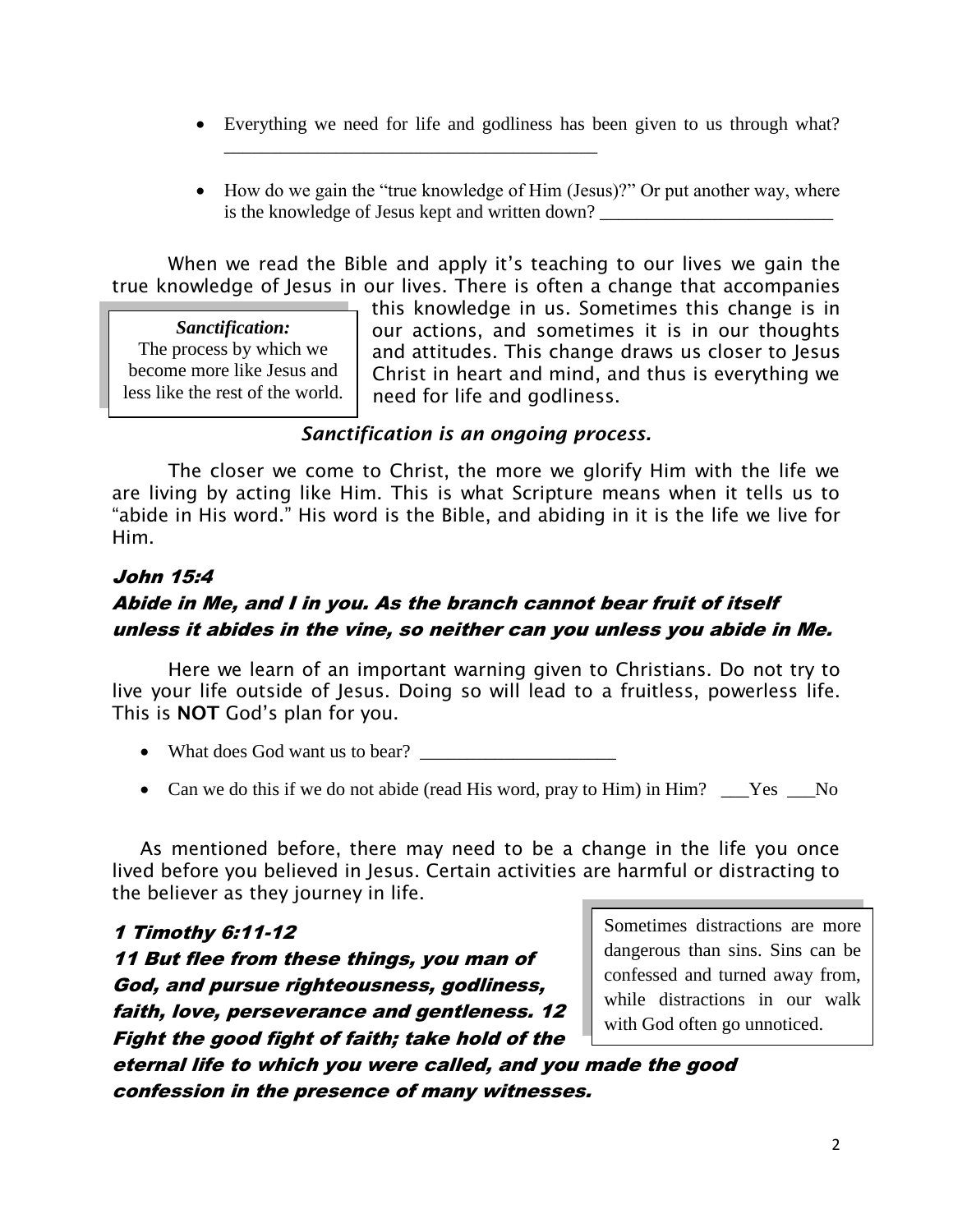- Everything we need for life and godliness has been given to us through what?
- How do we gain the "true knowledge of Him (Jesus)?" Or put another way, where is the knowledge of Jesus kept and written down?

When we read the Bible and apply it's teaching to our lives we gain the true knowledge of Jesus in our lives. There is often a change that accompanies

\_\_\_\_\_\_\_\_\_\_\_\_\_\_\_\_\_\_\_\_\_\_\_\_\_\_\_\_\_\_\_\_\_\_\_\_\_\_\_\_

*Sanctification:* The process by which we become more like Jesus and less like the rest of the world. this knowledge in us. Sometimes this change is in our actions, and sometimes it is in our thoughts and attitudes. This change draws us closer to Jesus Christ in heart and mind, and thus is everything we need for life and godliness.

#### *Sanctification is an ongoing process.*

The closer we come to Christ, the more we glorify Him with the life we are living by acting like Him. This is what Scripture means when it tells us to "abide in His word." His word is the Bible, and abiding in it is the life we live for Him.

#### John 15:4

# Abide in Me, and I in you. As the branch cannot bear fruit of itself unless it abides in the vine, so neither can you unless you abide in Me.

Here we learn of an important warning given to Christians. Do not try to live your life outside of Jesus. Doing so will lead to a fruitless, powerless life. This is **NOT** God's plan for you.

- What does God want us to bear?
- Can we do this if we do not abide (read His word, pray to Him) in Him? \_\_\_Yes \_\_\_No

As mentioned before, there may need to be a change in the life you once lived before you believed in Jesus. Certain activities are harmful or distracting to the believer as they journey in life.

#### 1 Timothy 6:11-12

11 But flee from these things, you man of God, and pursue righteousness, godliness, faith, love, perseverance and gentleness. 12 Fight the good fight of faith; take hold of the Sometimes distractions are more dangerous than sins. Sins can be confessed and turned away from, while distractions in our walk with God often go unnoticed.

eternal life to which you were called, and you made the good confession in the presence of many witnesses.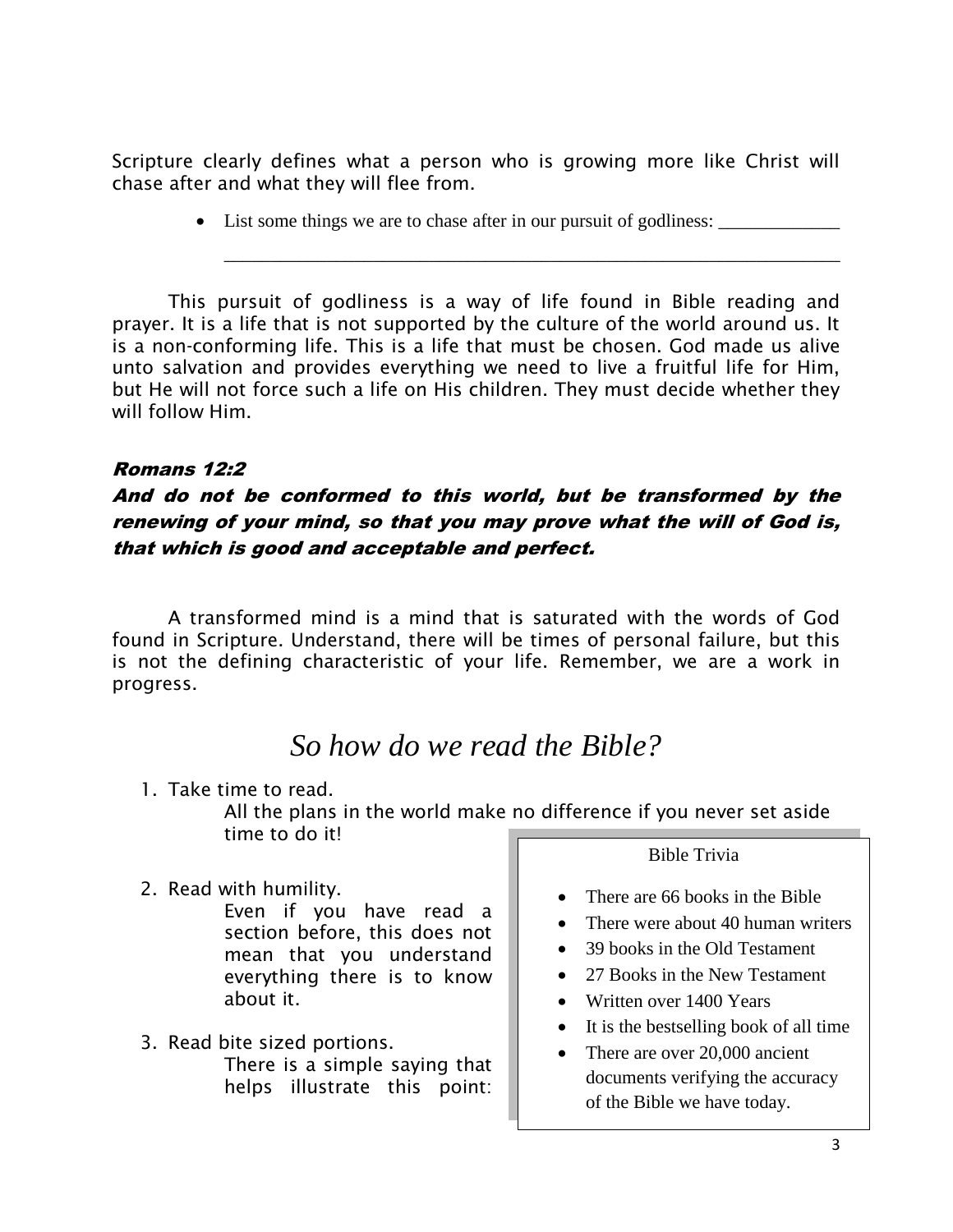Scripture clearly defines what a person who is growing more like Christ will chase after and what they will flee from.

• List some things we are to chase after in our pursuit of godliness: \_\_\_\_\_\_\_\_\_\_

\_\_\_\_\_\_\_\_\_\_\_\_\_\_\_\_\_\_\_\_\_\_\_\_\_\_\_\_\_\_\_\_\_\_\_\_\_\_\_\_\_\_\_\_\_\_\_\_\_\_\_\_\_\_\_\_\_\_\_\_\_\_\_\_\_\_

This pursuit of godliness is a way of life found in Bible reading and prayer. It is a life that is not supported by the culture of the world around us. It is a non-conforming life. This is a life that must be chosen. God made us alive unto salvation and provides everything we need to live a fruitful life for Him, but He will not force such a life on His children. They must decide whether they will follow Him.

#### Romans 12:2

# And do not be conformed to this world, but be transformed by the renewing of your mind, so that you may prove what the will of God is, that which is good and acceptable and perfect.

A transformed mind is a mind that is saturated with the words of God found in Scripture. Understand, there will be times of personal failure, but this is not the defining characteristic of your life. Remember, we are a work in progress.

# *So how do we read the Bible?*

1. Take time to read.

All the plans in the world make no difference if you never set aside time to do it!

2. Read with humility.

Even if you have read a section before, this does not mean that you understand everything there is to know about it.

3. Read bite sized portions. There is a simple saying that helps illustrate this point:

Bible Trivia

- There are 66 books in the Bible
- There were about 40 human writers
- 39 books in the Old Testament
- 27 Books in the New Testament
- Written over 1400 Years
- It is the best selling book of all time
- There are over 20,000 ancient documents verifying the accuracy of the Bible we have today.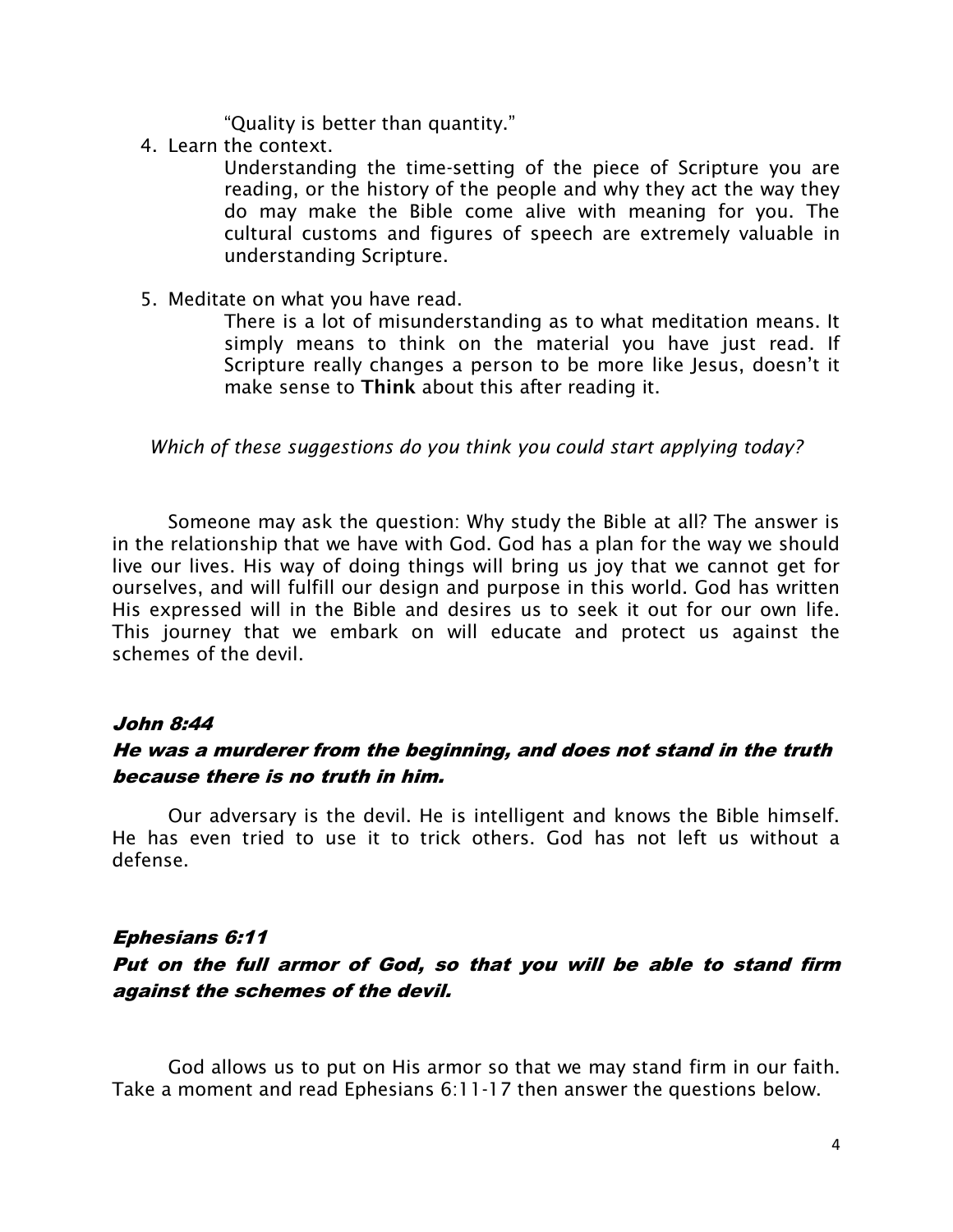"Quality is better than quantity."

4. Learn the context.

Understanding the time-setting of the piece of Scripture you are reading, or the history of the people and why they act the way they do may make the Bible come alive with meaning for you. The cultural customs and figures of speech are extremely valuable in understanding Scripture.

5. Meditate on what you have read.

There is a lot of misunderstanding as to what meditation means. It simply means to think on the material you have just read. If Scripture really changes a person to be more like Jesus, doesn't it make sense to **Think** about this after reading it.

*Which of these suggestions do you think you could start applying today?*

Someone may ask the question: Why study the Bible at all? The answer is in the relationship that we have with God. God has a plan for the way we should live our lives. His way of doing things will bring us joy that we cannot get for ourselves, and will fulfill our design and purpose in this world. God has written His expressed will in the Bible and desires us to seek it out for our own life. This journey that we embark on will educate and protect us against the schemes of the devil.

#### John 8:44

#### He was a murderer from the beginning, and does not stand in the truth because there is no truth in him.

Our adversary is the devil. He is intelligent and knows the Bible himself. He has even tried to use it to trick others. God has not left us without a defense.

#### Ephesians 6:11

## Put on the full armor of God, so that you will be able to stand firm against the schemes of the devil.

God allows us to put on His armor so that we may stand firm in our faith. Take a moment and read Ephesians 6:11-17 then answer the questions below.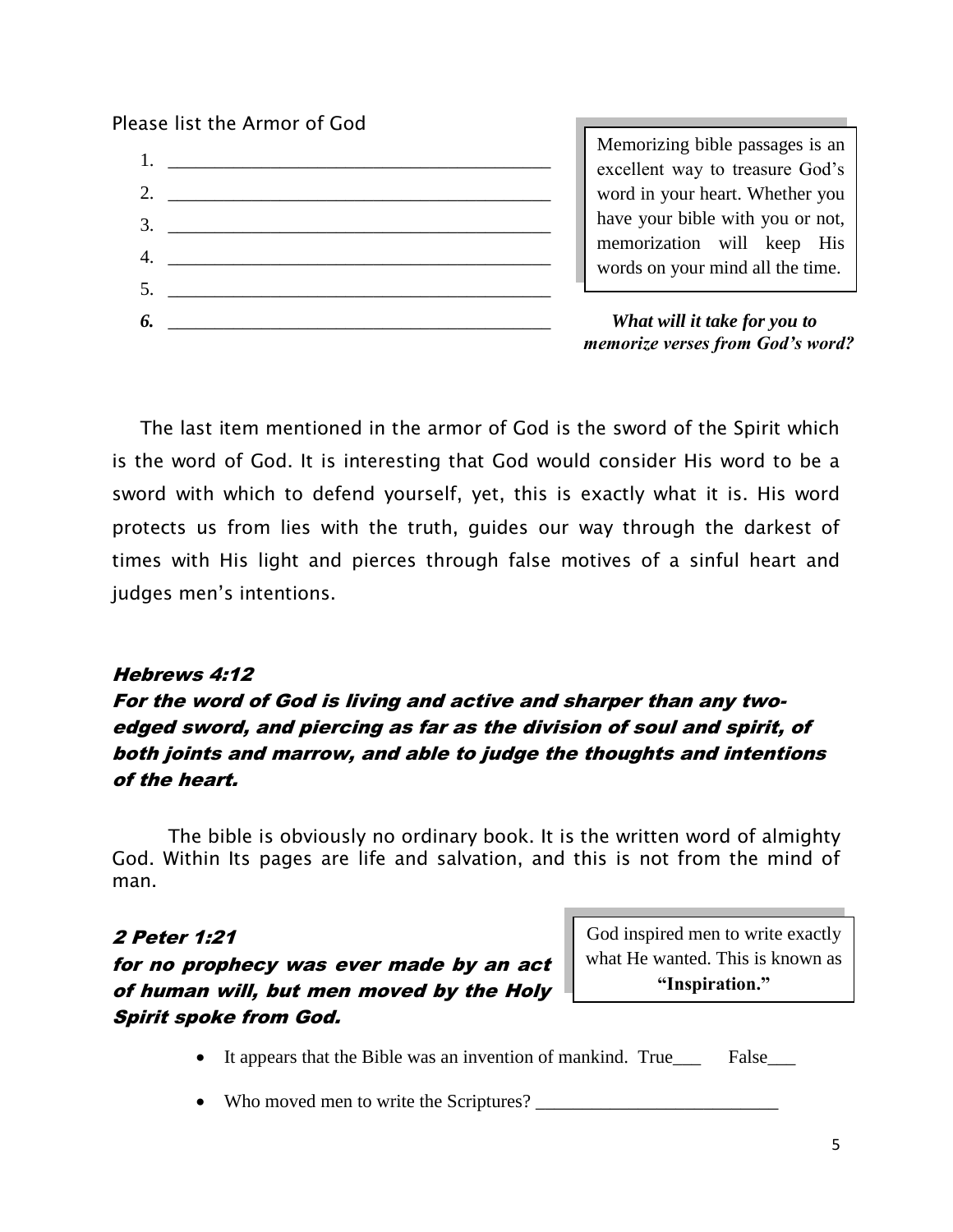#### Please list the Armor of God



Memorizing bible passages is an excellent way to treasure God's word in your heart. Whether you have your bible with you or not, memorization will keep His words on your mind all the time.

 *memorize verses from God's word?*

The last item mentioned in the armor of God is the sword of the Spirit which is the word of God. It is interesting that God would consider His word to be a sword with which to defend yourself, yet, this is exactly what it is. His word protects us from lies with the truth, guides our way through the darkest of times with His light and pierces through false motives of a sinful heart and judges men's intentions.

#### Hebrews 4:12

# For the word of God is living and active and sharper than any twoedged sword, and piercing as far as the division of soul and spirit, of both joints and marrow, and able to judge the thoughts and intentions of the heart.

The bible is obviously no ordinary book. It is the written word of almighty God. Within Its pages are life and salvation, and this is not from the mind of man.

#### 2 Peter 1:21

# for no prophecy was ever made by an act of human will, but men moved by the Holy Spirit spoke from God.

God inspired men to write exactly what He wanted. This is known as **"Inspiration."**

- It appears that the Bible was an invention of mankind. True\_\_\_\_ False\_\_\_
- Who moved men to write the Scriptures? \_\_\_\_\_\_\_\_\_\_\_\_\_\_\_\_\_\_\_\_\_\_\_\_\_\_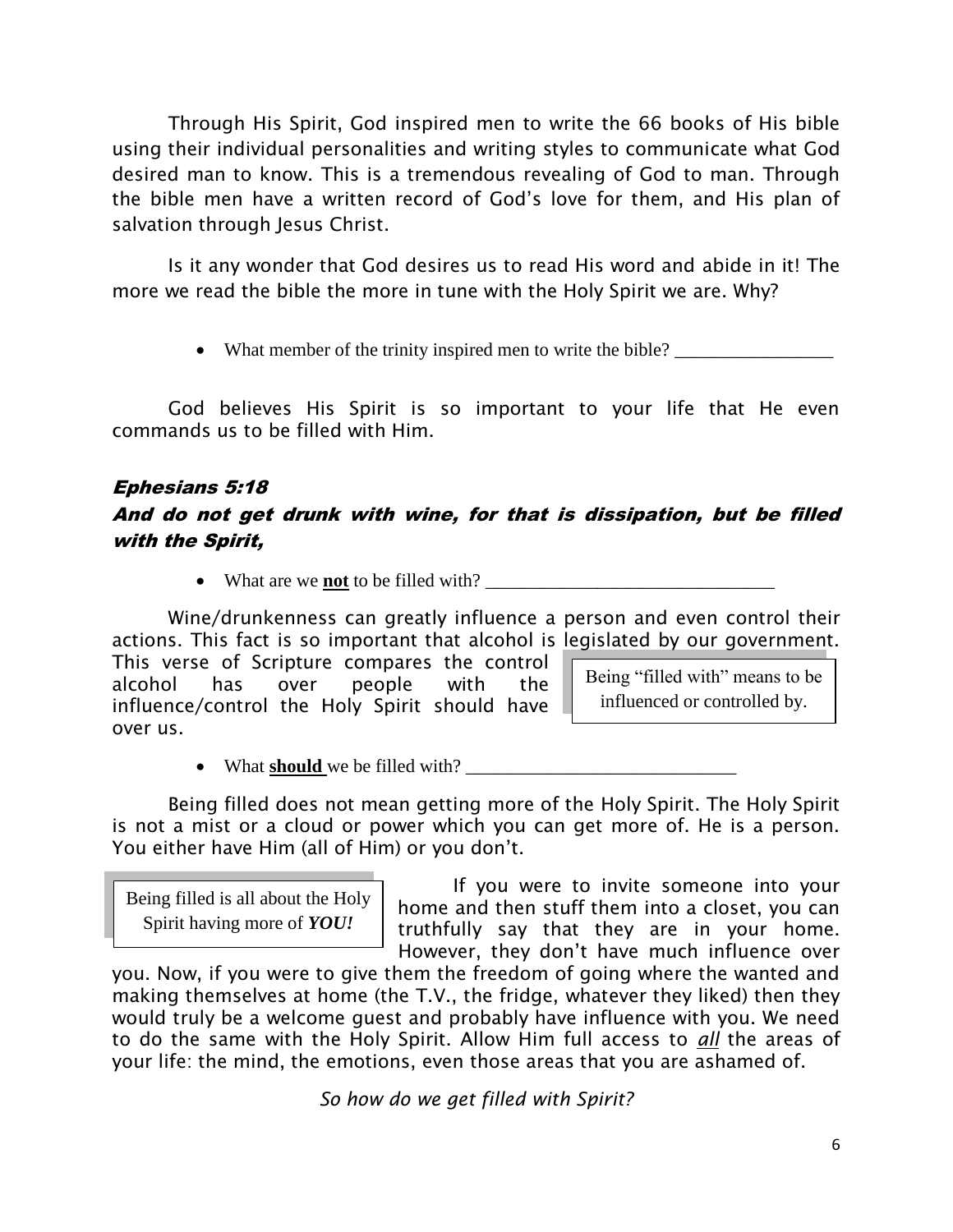Through His Spirit, God inspired men to write the 66 books of His bible using their individual personalities and writing styles to communicate what God desired man to know. This is a tremendous revealing of God to man. Through the bible men have a written record of God's love for them, and His plan of salvation through Jesus Christ.

Is it any wonder that God desires us to read His word and abide in it! The more we read the bible the more in tune with the Holy Spirit we are. Why?

• What member of the trinity inspired men to write the bible? \_\_\_\_\_\_\_\_\_\_\_\_\_\_\_\_\_\_

God believes His Spirit is so important to your life that He even commands us to be filled with Him.

#### Ephesians 5:18

# And do not get drunk with wine, for that is dissipation, but be filled with the Spirit,

What are we **not** to be filled with? \_\_\_\_\_\_\_\_\_\_\_\_\_\_\_\_\_\_\_\_\_\_\_\_\_\_\_\_\_\_\_

Being "filled with" means to be influenced or controlled by. Wine/drunkenness can greatly influence a person and even control their actions. This fact is so important that alcohol is legislated by our government. This verse of Scripture compares the control alcohol has over people with the influence/control the Holy Spirit should have over us.

• What **should** we be filled with?

Being filled does not mean getting more of the Holy Spirit. The Holy Spirit is not a mist or a cloud or power which you can get more of. He is a person. You either have Him (all of Him) or you don't.

Being filled is all about the Holy Spirit having more of *YOU!*

If you were to invite someone into your home and then stuff them into a closet, you can truthfully say that they are in your home. However, they don't have much influence over

you. Now, if you were to give them the freedom of going where the wanted and making themselves at home (the T.V., the fridge, whatever they liked) then they would truly be a welcome guest and probably have influence with you. We need to do the same with the Holy Spirit. Allow Him full access to *all* the areas of your life: the mind, the emotions, even those areas that you are ashamed of.

*So how do we get filled with Spirit?*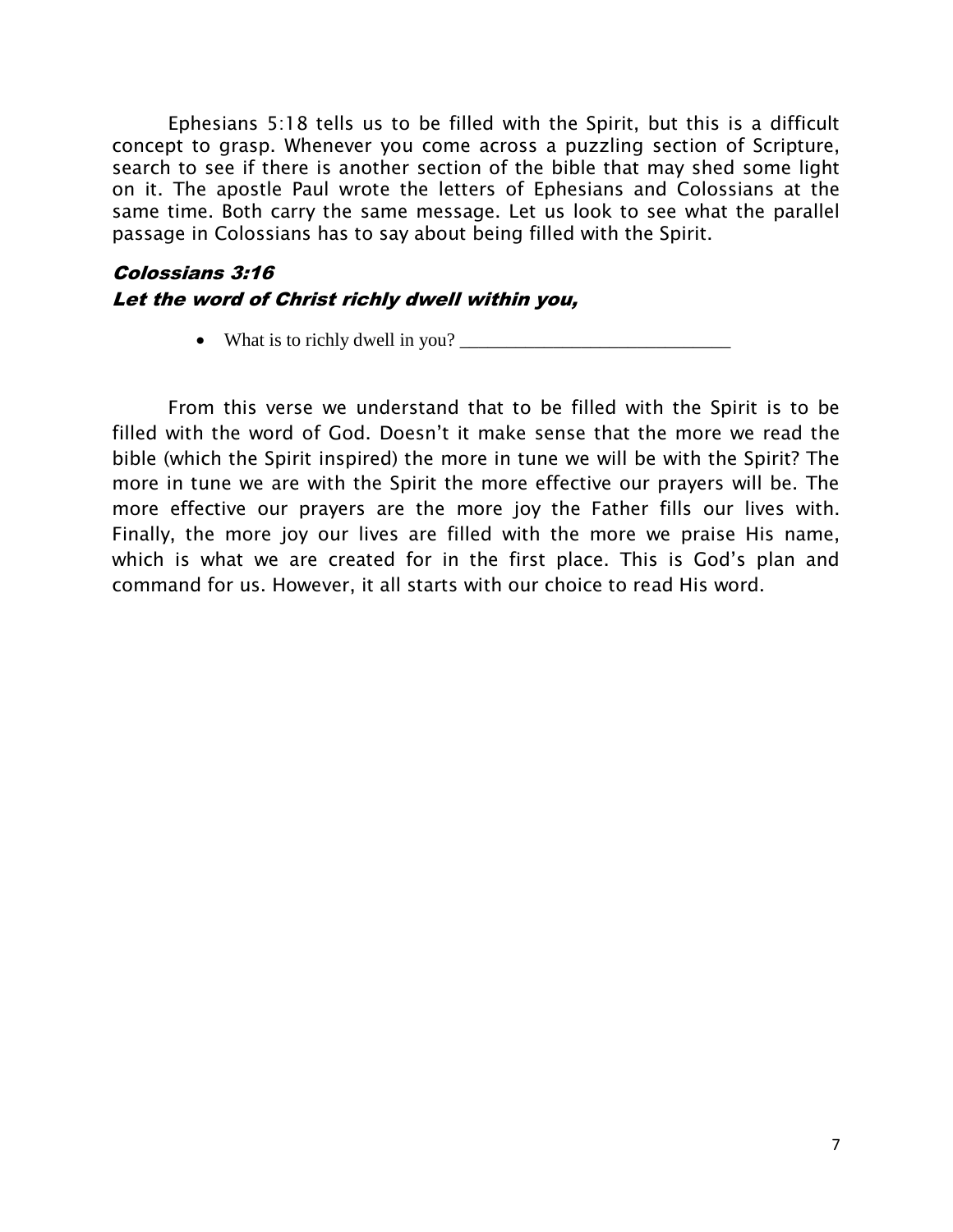Ephesians 5:18 tells us to be filled with the Spirit, but this is a difficult concept to grasp. Whenever you come across a puzzling section of Scripture, search to see if there is another section of the bible that may shed some light on it. The apostle Paul wrote the letters of Ephesians and Colossians at the same time. Both carry the same message. Let us look to see what the parallel passage in Colossians has to say about being filled with the Spirit.

# Colossians 3:16 Let the word of Christ richly dwell within you,

What is to richly dwell in you? \_\_\_\_\_\_\_\_\_\_\_\_\_\_\_\_\_\_\_\_\_\_\_\_\_\_\_\_\_

From this verse we understand that to be filled with the Spirit is to be filled with the word of God. Doesn't it make sense that the more we read the bible (which the Spirit inspired) the more in tune we will be with the Spirit? The more in tune we are with the Spirit the more effective our prayers will be. The more effective our prayers are the more joy the Father fills our lives with. Finally, the more joy our lives are filled with the more we praise His name, which is what we are created for in the first place. This is God's plan and command for us. However, it all starts with our choice to read His word.